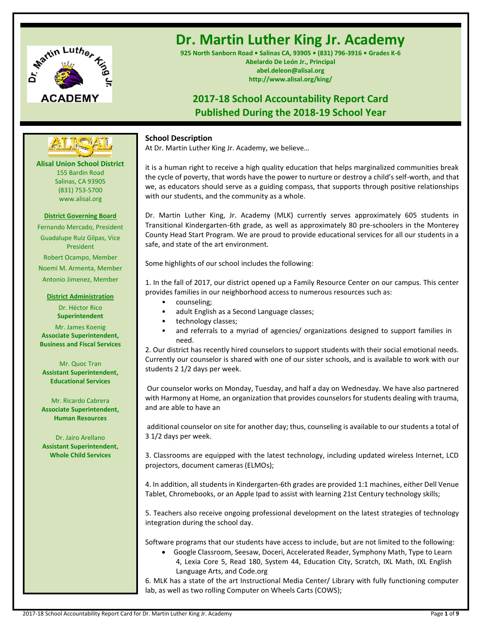

# **Dr. Martin Luther King Jr. Academy**

**925 North Sanborn Road • Salinas CA, 93905 • (831) 796-3916 • Grades K-6 Abelardo De León Jr., Principal abel.deleon@alisal.org http://www.alisal.org/king/**

# **2017-18 School Accountability Report Card Published During the 2018-19 School Year**

# **School Description**

At Dr. Martin Luther King Jr. Academy, we believe…

it is a human right to receive a high quality education that helps marginalized communities break the cycle of poverty, that words have the power to nurture or destroy a child's self-worth, and that we, as educators should serve as a guiding compass, that supports through positive relationships with our students, and the community as a whole.

Dr. Martin Luther King, Jr. Academy (MLK) currently serves approximately 605 students in Transitional Kindergarten-6th grade, as well as approximately 80 pre-schoolers in the Monterey County Head Start Program. We are proud to provide educational services for all our students in a safe, and state of the art environment.

Some highlights of our school includes the following:

1. In the fall of 2017, our district opened up a Family Resource Center on our campus. This center provides families in our neighborhood access to numerous resources such as:

- counseling;
- adult English as a Second Language classes;
- technology classes;
- and referrals to a myriad of agencies/ organizations designed to support families in need.

2. Our district has recently hired counselors to support students with their social emotional needs. Currently our counselor is shared with one of our sister schools, and is available to work with our students 2 1/2 days per week.

Our counselor works on Monday, Tuesday, and half a day on Wednesday. We have also partnered with Harmony at Home, an organization that provides counselors for students dealing with trauma, and are able to have an

additional counselor on site for another day; thus, counseling is available to our students a total of 3 1/2 days per week.

3. Classrooms are equipped with the latest technology, including updated wireless Internet, LCD projectors, document cameras (ELMOs);

4. In addition, all students in Kindergarten-6th grades are provided 1:1 machines, either Dell Venue Tablet, Chromebooks, or an Apple Ipad to assist with learning 21st Century technology skills;

5. Teachers also receive ongoing professional development on the latest strategies of technology integration during the school day.

Software programs that our students have access to include, but are not limited to the following:

• Google Classroom, Seesaw, Doceri, Accelerated Reader, Symphony Math, Type to Learn 4, Lexia Core 5, Read 180, System 44, Education City, Scratch, IXL Math, IXL English Language Arts, and Code.org

6. MLK has a state of the art Instructional Media Center/ Library with fully functioning computer lab, as well as two rolling Computer on Wheels Carts (COWS);

# (831) 753-5700 www.alisal.org

**Alisal Union School District** 155 Bardin Road Salinas, CA 93905

**---- ----**

**District Governing Board** Fernando Mercado, President Guadalupe Ruiz Gilpas, Vice President Robert Ocampo, Member Noemí M. Armenta, Member Antonio Jimenez, Member

#### **District Administration**

Dr. Héctor Rico **Superintendent** Mr. James Koenig **Associate Superintendent, Business and Fiscal Services**

Mr. Quoc Tran **Assistant Superintendent, Educational Services**

Mr. Ricardo Cabrera **Associate Superintendent, Human Resources**

Dr. Jairo Arellano **Assistant Superintendent, Whole Child Services**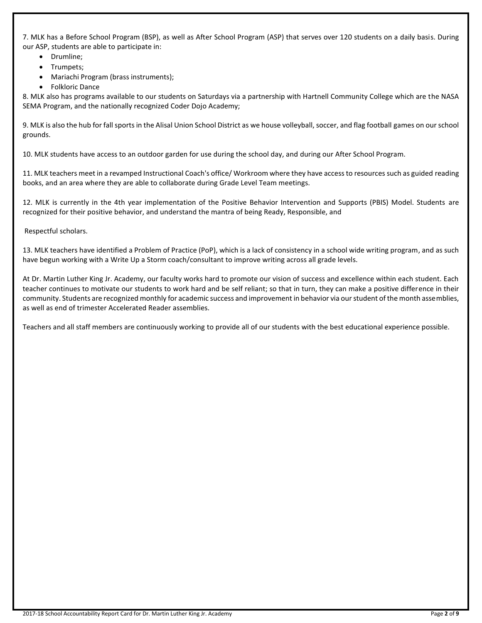7. MLK has a Before School Program (BSP), as well as After School Program (ASP) that serves over 120 students on a daily basis. During our ASP, students are able to participate in:

- Drumline;
- Trumpets;
- Mariachi Program (brass instruments);
- Folkloric Dance

8. MLK also has programs available to our students on Saturdays via a partnership with Hartnell Community College which are the NASA SEMA Program, and the nationally recognized Coder Dojo Academy;

9. MLK is also the hub for fall sports in the Alisal Union School District as we house volleyball, soccer, and flag football games on our school grounds.

10. MLK students have access to an outdoor garden for use during the school day, and during our After School Program.

11. MLK teachers meet in a revamped Instructional Coach's office/ Workroom where they have access to resources such as guided reading books, and an area where they are able to collaborate during Grade Level Team meetings.

12. MLK is currently in the 4th year implementation of the Positive Behavior Intervention and Supports (PBIS) Model. Students are recognized for their positive behavior, and understand the mantra of being Ready, Responsible, and

Respectful scholars.

13. MLK teachers have identified a Problem of Practice (PoP), which is a lack of consistency in a school wide writing program, and as such have begun working with a Write Up a Storm coach/consultant to improve writing across all grade levels.

At Dr. Martin Luther King Jr. Academy, our faculty works hard to promote our vision of success and excellence within each student. Each teacher continues to motivate our students to work hard and be self reliant; so that in turn, they can make a positive difference in their community. Students are recognized monthly for academic success and improvement in behavior via our student of the month assemblies, as well as end of trimester Accelerated Reader assemblies.

Teachers and all staff members are continuously working to provide all of our students with the best educational experience possible.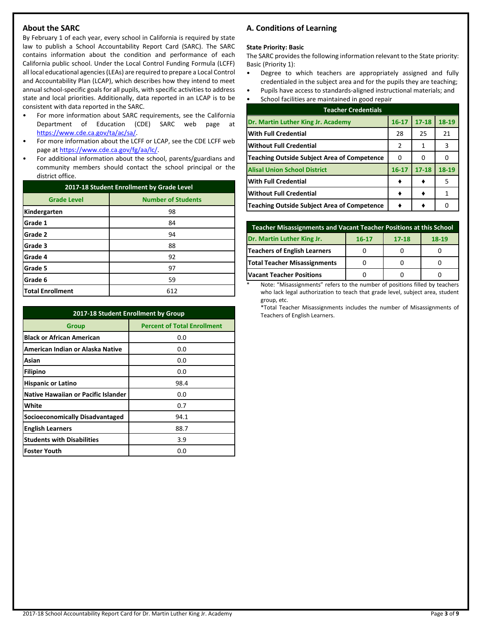# **About the SARC**

By February 1 of each year, every school in California is required by state law to publish a School Accountability Report Card (SARC). The SARC contains information about the condition and performance of each California public school. Under the Local Control Funding Formula (LCFF) all local educational agencies (LEAs) are required to prepare a Local Control and Accountability Plan (LCAP), which describes how they intend to meet annual school-specific goals for all pupils, with specific activities to address state and local priorities. Additionally, data reported in an LCAP is to be consistent with data reported in the SARC.

- For more information about SARC requirements, see the California Department of Education (CDE) SARC web page at [https://www.cde.ca.gov/ta/ac/sa/.](https://www.cde.ca.gov/ta/ac/sa/)
- For more information about the LCFF or LCAP, see the CDE LCFF web page at [https://www.cde.ca.gov/fg/aa/lc/.](https://www.cde.ca.gov/fg/aa/lc/)
- For additional information about the school, parents/guardians and community members should contact the school principal or the district office.

| 2017-18 Student Enrollment by Grade Level |                           |  |  |
|-------------------------------------------|---------------------------|--|--|
| <b>Grade Level</b>                        | <b>Number of Students</b> |  |  |
| Kindergarten                              | 98                        |  |  |
| Grade 1                                   | 84                        |  |  |
| Grade 2                                   | 94                        |  |  |
| Grade 3                                   | 88                        |  |  |
| Grade 4                                   | 92                        |  |  |
| Grade 5                                   | 97                        |  |  |
| Grade 6                                   | 59                        |  |  |
| <b>Total Enrollment</b>                   | 612                       |  |  |

| 2017-18 Student Enrollment by Group        |                                    |  |  |  |
|--------------------------------------------|------------------------------------|--|--|--|
| <b>Group</b>                               | <b>Percent of Total Enrollment</b> |  |  |  |
| <b>Black or African American</b>           | 0.0                                |  |  |  |
| American Indian or Alaska Native           | 0.0                                |  |  |  |
| Asian                                      | 0.0                                |  |  |  |
| Filipino                                   | 0.0                                |  |  |  |
| <b>Hispanic or Latino</b>                  | 98.4                               |  |  |  |
| <b>Native Hawaiian or Pacific Islander</b> | 0.0                                |  |  |  |
| White                                      | 0.7                                |  |  |  |
| <b>Socioeconomically Disadvantaged</b>     | 94.1                               |  |  |  |
| <b>English Learners</b>                    | 88.7                               |  |  |  |
| <b>Students with Disabilities</b>          | 3.9                                |  |  |  |
| <b>Foster Youth</b>                        | 0.0                                |  |  |  |

# **A. Conditions of Learning**

#### **State Priority: Basic**

The SARC provides the following information relevant to the State priority: Basic (Priority 1):

- Degree to which teachers are appropriately assigned and fully credentialed in the subject area and for the pupils they are teaching;
- Pupils have access to standards-aligned instructional materials; and
- School facilities are maintained in good repair

| <b>Teacher Credentials</b>                         |           |           |       |  |  |  |
|----------------------------------------------------|-----------|-----------|-------|--|--|--|
| Dr. Martin Luther King Jr. Academy                 | $16 - 17$ | $17 - 18$ | 18-19 |  |  |  |
| <b>With Full Credential</b>                        | 28        | 25        | 21    |  |  |  |
| <b>Without Full Credential</b>                     | 2         | 1         | 3     |  |  |  |
| <b>Teaching Outside Subject Area of Competence</b> | 0         | o         |       |  |  |  |
| <b>Alisal Union School District</b>                | $16 - 17$ | $17 - 18$ | 18-19 |  |  |  |
| With Full Credential                               |           |           | 5     |  |  |  |
| <b>Without Full Credential</b>                     |           |           |       |  |  |  |
| <b>Teaching Outside Subject Area of Competence</b> |           |           |       |  |  |  |

| Teacher Misassignments and Vacant Teacher Positions at this School |  |  |  |  |  |  |  |
|--------------------------------------------------------------------|--|--|--|--|--|--|--|
| Dr. Martin Luther King Jr.<br>$18-19$<br>$16 - 17$<br>$17 - 18$    |  |  |  |  |  |  |  |
| Teachers of English Learners                                       |  |  |  |  |  |  |  |
| Total Teacher Misassignments                                       |  |  |  |  |  |  |  |
| <b>Vacant Teacher Positions</b>                                    |  |  |  |  |  |  |  |

Note: "Misassignments" refers to the number of positions filled by teachers who lack legal authorization to teach that grade level, subject area, student group, etc.

\*Total Teacher Misassignments includes the number of Misassignments of Teachers of English Learners.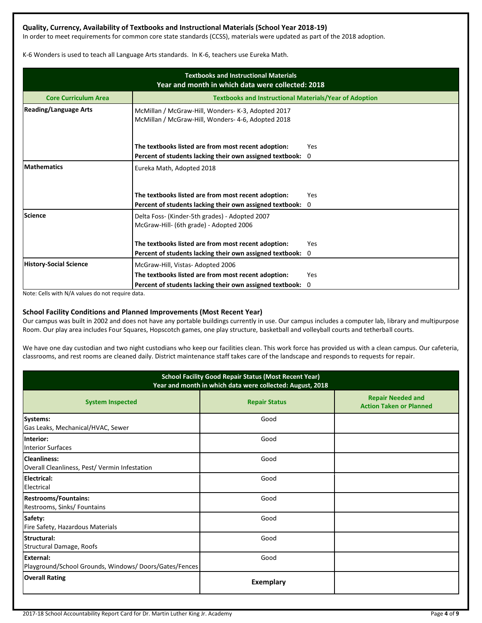# **Quality, Currency, Availability of Textbooks and Instructional Materials (School Year 2018-19)**

In order to meet requirements for common core state standards (CCSS), materials were updated as part of the 2018 adoption.

K-6 Wonders is used to teach all Language Arts standards. In K-6, teachers use Eureka Math.

| <b>Textbooks and Instructional Materials</b><br>Year and month in which data were collected: 2018 |                                                                                                          |             |  |  |  |
|---------------------------------------------------------------------------------------------------|----------------------------------------------------------------------------------------------------------|-------------|--|--|--|
| <b>Core Curriculum Area</b>                                                                       | <b>Textbooks and Instructional Materials/Year of Adoption</b>                                            |             |  |  |  |
| <b>Reading/Language Arts</b>                                                                      | McMillan / McGraw-Hill, Wonders- K-3, Adopted 2017<br>McMillan / McGraw-Hill, Wonders- 4-6, Adopted 2018 |             |  |  |  |
|                                                                                                   | The textbooks listed are from most recent adoption:                                                      | Yes         |  |  |  |
|                                                                                                   | Percent of students lacking their own assigned textbook:                                                 | $\mathbf 0$ |  |  |  |
| <b>Mathematics</b>                                                                                | Eureka Math, Adopted 2018<br>The textbooks listed are from most recent adoption:                         | Yes         |  |  |  |
|                                                                                                   | Percent of students lacking their own assigned textbook:                                                 | $\Omega$    |  |  |  |
| <b>Science</b>                                                                                    | Delta Foss- (Kinder-5th grades) - Adopted 2007<br>McGraw-Hill- (6th grade) - Adopted 2006                |             |  |  |  |
|                                                                                                   | The textbooks listed are from most recent adoption:                                                      | Yes         |  |  |  |
|                                                                                                   | Percent of students lacking their own assigned textbook: 0                                               |             |  |  |  |
| <b>History-Social Science</b>                                                                     | McGraw-Hill, Vistas-Adopted 2006                                                                         |             |  |  |  |
|                                                                                                   | The textbooks listed are from most recent adoption:                                                      | Yes         |  |  |  |
|                                                                                                   | Percent of students lacking their own assigned textbook:                                                 | 0           |  |  |  |

Note: Cells with N/A values do not require data.

# **School Facility Conditions and Planned Improvements (Most Recent Year)**

Our campus was built in 2002 and does not have any portable buildings currently in use. Our campus includes a computer lab, library and multipurpose Room. Our play area includes Four Squares, Hopscotch games, one play structure, basketball and volleyball courts and tetherball courts.

We have one day custodian and two night custodians who keep our facilities clean. This work force has provided us with a clean campus. Our cafeteria, classrooms, and rest rooms are cleaned daily. District maintenance staff takes care of the landscape and responds to requests for repair.

| <b>School Facility Good Repair Status (Most Recent Year)</b><br>Year and month in which data were collected: August, 2018 |                      |                                                            |  |  |  |
|---------------------------------------------------------------------------------------------------------------------------|----------------------|------------------------------------------------------------|--|--|--|
| <b>System Inspected</b>                                                                                                   | <b>Repair Status</b> | <b>Repair Needed and</b><br><b>Action Taken or Planned</b> |  |  |  |
| Systems:<br>Gas Leaks, Mechanical/HVAC, Sewer                                                                             | Good                 |                                                            |  |  |  |
| Interior:<br><b>Interior Surfaces</b>                                                                                     | Good                 |                                                            |  |  |  |
| Cleanliness:<br>Overall Cleanliness, Pest/ Vermin Infestation                                                             | Good                 |                                                            |  |  |  |
| Electrical:<br>Electrical                                                                                                 | Good                 |                                                            |  |  |  |
| <b>Restrooms/Fountains:</b><br>Restrooms, Sinks/ Fountains                                                                | Good                 |                                                            |  |  |  |
| Safety:<br>Fire Safety, Hazardous Materials                                                                               | Good                 |                                                            |  |  |  |
| Structural:<br>Structural Damage, Roofs                                                                                   | Good                 |                                                            |  |  |  |
| External:<br>Playground/School Grounds, Windows/Doors/Gates/Fences                                                        | Good                 |                                                            |  |  |  |
| <b>Overall Rating</b>                                                                                                     | <b>Exemplary</b>     |                                                            |  |  |  |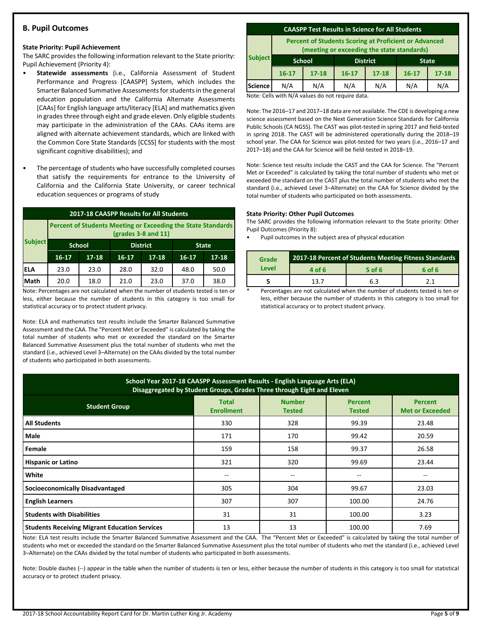# **B. Pupil Outcomes**

#### **State Priority: Pupil Achievement**

The SARC provides the following information relevant to the State priority: Pupil Achievement (Priority 4):

- **Statewide assessments** (i.e., California Assessment of Student Performance and Progress [CAASPP] System, which includes the Smarter Balanced Summative Assessments for students in the general education population and the California Alternate Assessments [CAAs] for English language arts/literacy [ELA] and mathematics given in grades three through eight and grade eleven. Only eligible students may participate in the administration of the CAAs. CAAs items are aligned with alternate achievement standards, which are linked with the Common Core State Standards [CCSS] for students with the most significant cognitive disabilities); and
- The percentage of students who have successfully completed courses that satisfy the requirements for entrance to the University of California and the California State University, or career technical education sequences or programs of study

| 2017-18 CAASPP Results for All Students |                                                                                       |           |           |                 |         |              |  |
|-----------------------------------------|---------------------------------------------------------------------------------------|-----------|-----------|-----------------|---------|--------------|--|
|                                         | Percent of Students Meeting or Exceeding the State Standards<br>$(grades 3-8 and 11)$ |           |           |                 |         |              |  |
| <b>Subject</b>                          | <b>School</b>                                                                         |           |           | <b>District</b> |         | <b>State</b> |  |
|                                         | $16 - 17$                                                                             | $17 - 18$ | $16 - 17$ | $17 - 18$       | $16-17$ | $17 - 18$    |  |
| IELA                                    | 23.0                                                                                  | 23.0      | 28.0      | 32.0            | 48.0    | 50.0         |  |
| Math                                    | 20.0                                                                                  | 18.0      | 21.0      | 23.0            | 37.0    | 38.0         |  |

Note: Percentages are not calculated when the number of students tested is ten or less, either because the number of students in this category is too small for statistical accuracy or to protect student privacy.

Note: ELA and mathematics test results include the Smarter Balanced Summative Assessment and the CAA. The "Percent Met or Exceeded" is calculated by taking the total number of students who met or exceeded the standard on the Smarter Balanced Summative Assessment plus the total number of students who met the standard (i.e., achieved Level 3–Alternate) on the CAAs divided by the total number of students who participated in both assessments.

#### **CAASPP Test Results in Science for All Students**

**Percent of Students Scoring at Proficient or Advanced (meeting or exceeding the state standards)**

|                | lineeting of exceeding the state standards, |               |                 |           |              |           |
|----------------|---------------------------------------------|---------------|-----------------|-----------|--------------|-----------|
| <b>Subject</b> |                                             | <b>School</b> | <b>District</b> |           | <b>State</b> |           |
|                | $16 - 17$                                   | $17 - 18$     | $16 - 17$       | $17 - 18$ | $16 - 17$    | $17 - 18$ |
| <b>Science</b> | N/A                                         | N/A           | N/A             | N/A       | N/A          | N/A       |
|                | .                                           | $\sim$ $\sim$ | $\sim$ $\sim$   |           |              |           |

Note: Cells with N/A values do not require data.

Note: The 2016–17 and 2017–18 data are not available. The CDE is developing a new science assessment based on the Next Generation Science Standards for California Public Schools (CA NGSS). The CAST was pilot-tested in spring 2017 and field-tested in spring 2018. The CAST will be administered operationally during the 2018–19 school year. The CAA for Science was pilot-tested for two years (i.e., 2016–17 and 2017–18) and the CAA for Science will be field-tested in 2018–19.

Note: Science test results include the CAST and the CAA for Science. The "Percent Met or Exceeded" is calculated by taking the total number of students who met or exceeded the standard on the CAST plus the total number of students who met the standard (i.e., achieved Level 3–Alternate) on the CAA for Science divided by the total number of students who participated on both assessments.

#### **State Priority: Other Pupil Outcomes**

The SARC provides the following information relevant to the State priority: Other Pupil Outcomes (Priority 8):

Pupil outcomes in the subject area of physical education

| Grade |        | 2017-18 Percent of Students Meeting Fitness Standards |            |
|-------|--------|-------------------------------------------------------|------------|
| Level | 4 of 6 | 5 of 6                                                | 6 of 6     |
|       | 13 7   | 6.3                                                   | <b>つ</b> 1 |

Percentages are not calculated when the number of students tested is ten or less, either because the number of students in this category is too small for statistical accuracy or to protect student privacy.

| School Year 2017-18 CAASPP Assessment Results - English Language Arts (ELA)<br>Disaggregated by Student Groups, Grades Three through Eight and Eleven                      |       |     |        |       |  |  |  |  |
|----------------------------------------------------------------------------------------------------------------------------------------------------------------------------|-------|-----|--------|-------|--|--|--|--|
| <b>Number</b><br><b>Total</b><br><b>Percent</b><br><b>Percent</b><br><b>Student Group</b><br><b>Enrollment</b><br><b>Met or Exceeded</b><br><b>Tested</b><br><b>Tested</b> |       |     |        |       |  |  |  |  |
| <b>All Students</b>                                                                                                                                                        | 330   | 328 | 99.39  | 23.48 |  |  |  |  |
| Male                                                                                                                                                                       | 171   | 170 | 99.42  | 20.59 |  |  |  |  |
| Female                                                                                                                                                                     | 159   | 158 | 99.37  | 26.58 |  |  |  |  |
| <b>Hispanic or Latino</b>                                                                                                                                                  | 321   | 320 | 99.69  | 23.44 |  |  |  |  |
| White                                                                                                                                                                      | $- -$ | --  | $-$    | --    |  |  |  |  |
| <b>Socioeconomically Disadvantaged</b>                                                                                                                                     | 305   | 304 | 99.67  | 23.03 |  |  |  |  |
| <b>English Learners</b>                                                                                                                                                    | 307   | 307 | 100.00 | 24.76 |  |  |  |  |
| <b>Students with Disabilities</b>                                                                                                                                          | 31    | 31  | 100.00 | 3.23  |  |  |  |  |
| <b>Students Receiving Migrant Education Services</b>                                                                                                                       | 13    | 13  | 100.00 | 7.69  |  |  |  |  |

Note: ELA test results include the Smarter Balanced Summative Assessment and the CAA. The "Percent Met or Exceeded" is calculated by taking the total number of students who met or exceeded the standard on the Smarter Balanced Summative Assessment plus the total number of students who met the standard (i.e., achieved Level 3–Alternate) on the CAAs divided by the total number of students who participated in both assessments.

Note: Double dashes (--) appear in the table when the number of students is ten or less, either because the number of students in this category is too small for statistical accuracy or to protect student privacy.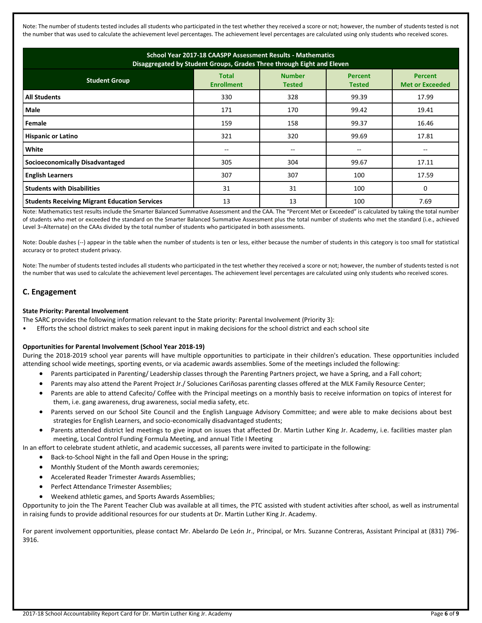Note: The number of students tested includes all students who participated in the test whether they received a score or not; however, the number of students tested is not the number that was used to calculate the achievement level percentages. The achievement level percentages are calculated using only students who received scores.

| School Year 2017-18 CAASPP Assessment Results - Mathematics<br>Disaggregated by Student Groups, Grades Three through Eight and Eleven                                      |     |     |       |       |  |  |  |  |
|----------------------------------------------------------------------------------------------------------------------------------------------------------------------------|-----|-----|-------|-------|--|--|--|--|
| <b>Number</b><br><b>Total</b><br><b>Percent</b><br><b>Percent</b><br><b>Student Group</b><br><b>Enrollment</b><br><b>Met or Exceeded</b><br><b>Tested</b><br><b>Tested</b> |     |     |       |       |  |  |  |  |
| <b>All Students</b>                                                                                                                                                        | 330 | 328 | 99.39 | 17.99 |  |  |  |  |
| Male                                                                                                                                                                       | 171 | 170 | 99.42 | 19.41 |  |  |  |  |
| Female                                                                                                                                                                     | 159 | 158 | 99.37 | 16.46 |  |  |  |  |
| <b>Hispanic or Latino</b>                                                                                                                                                  | 321 | 320 | 99.69 | 17.81 |  |  |  |  |
| White                                                                                                                                                                      |     | $-$ |       |       |  |  |  |  |
| <b>Socioeconomically Disadvantaged</b>                                                                                                                                     | 305 | 304 | 99.67 | 17.11 |  |  |  |  |
| <b>English Learners</b>                                                                                                                                                    | 307 | 307 | 100   | 17.59 |  |  |  |  |
| <b>Students with Disabilities</b>                                                                                                                                          | 31  | 31  | 100   | 0     |  |  |  |  |
| <b>Students Receiving Migrant Education Services</b>                                                                                                                       | 13  | 13  | 100   | 7.69  |  |  |  |  |

Note: Mathematics test results include the Smarter Balanced Summative Assessment and the CAA. The "Percent Met or Exceeded" is calculated by taking the total number of students who met or exceeded the standard on the Smarter Balanced Summative Assessment plus the total number of students who met the standard (i.e., achieved Level 3–Alternate) on the CAAs divided by the total number of students who participated in both assessments.

Note: Double dashes (--) appear in the table when the number of students is ten or less, either because the number of students in this category is too small for statistical accuracy or to protect student privacy.

Note: The number of students tested includes all students who participated in the test whether they received a score or not; however, the number of students tested is not the number that was used to calculate the achievement level percentages. The achievement level percentages are calculated using only students who received scores.

# **C. Engagement**

#### **State Priority: Parental Involvement**

The SARC provides the following information relevant to the State priority: Parental Involvement (Priority 3):

• Efforts the school district makes to seek parent input in making decisions for the school district and each school site

#### **Opportunities for Parental Involvement (School Year 2018-19)**

During the 2018-2019 school year parents will have multiple opportunities to participate in their children's education. These opportunities included attending school wide meetings, sporting events, or via academic awards assemblies. Some of the meetings included the following:

- Parents participated in Parenting/ Leadership classes through the Parenting Partners project, we have a Spring, and a Fall cohort;
- Parents may also attend the Parent Project Jr./ Soluciones Cariñosas parenting classes offered at the MLK Family Resource Center;
- Parents are able to attend Cafecito/ Coffee with the Principal meetings on a monthly basis to receive information on topics of interest for them, i.e. gang awareness, drug awareness, social media safety, etc.
- Parents served on our School Site Council and the English Language Advisory Committee; and were able to make decisions about best strategies for English Learners, and socio-economically disadvantaged students;
- Parents attended district led meetings to give input on issues that affected Dr. Martin Luther King Jr. Academy, i.e. facilities master plan meeting, Local Control Funding Formula Meeting, and annual Title I Meeting

In an effort to celebrate student athletic, and academic successes, all parents were invited to participate in the following:

- Back-to-School Night in the fall and Open House in the spring;
- Monthly Student of the Month awards ceremonies;
- Accelerated Reader Trimester Awards Assemblies;
- Perfect Attendance Trimester Assemblies;
- Weekend athletic games, and Sports Awards Assemblies;

Opportunity to join the The Parent Teacher Club was available at all times, the PTC assisted with student activities after school, as well as instrumental in raising funds to provide additional resources for our students at Dr. Martin Luther King Jr. Academy.

For parent involvement opportunities, please contact Mr. Abelardo De León Jr., Principal, or Mrs. Suzanne Contreras, Assistant Principal at (831) 796- 3916.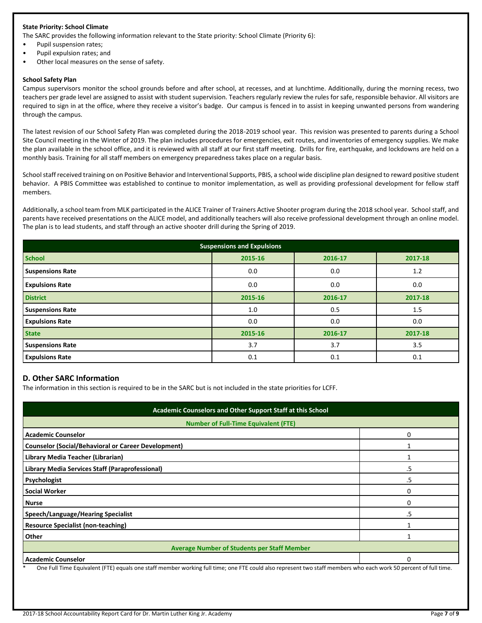#### **State Priority: School Climate**

The SARC provides the following information relevant to the State priority: School Climate (Priority 6):

- Pupil suspension rates;
- Pupil expulsion rates; and
- Other local measures on the sense of safety.

#### **School Safety Plan**

Campus supervisors monitor the school grounds before and after school, at recesses, and at lunchtime. Additionally, during the morning recess, two teachers per grade level are assigned to assist with student supervision. Teachers regularly review the rules for safe, responsible behavior. All visitors are required to sign in at the office, where they receive a visitor's badge. Our campus is fenced in to assist in keeping unwanted persons from wandering through the campus.

The latest revision of our School Safety Plan was completed during the 2018-2019 school year. This revision was presented to parents during a School Site Council meeting in the Winter of 2019. The plan includes procedures for emergencies, exit routes, and inventories of emergency supplies. We make the plan available in the school office, and it is reviewed with all staff at our first staff meeting. Drills for fire, earthquake, and lockdowns are held on a monthly basis. Training for all staff members on emergency preparedness takes place on a regular basis.

School staff received training on on Positive Behavior and Interventional Supports, PBIS, a school wide discipline plan designed to reward positive student behavior. A PBIS Committee was established to continue to monitor implementation, as well as providing professional development for fellow staff members.

Additionally, a school team from MLK participated in the ALICE Trainer of Trainers Active Shooter program during the 2018 school year. School staff, and parents have received presentations on the ALICE model, and additionally teachers will also receive professional development through an online model. The plan is to lead students, and staff through an active shooter drill during the Spring of 2019.

| <b>Suspensions and Expulsions</b> |         |         |         |  |  |
|-----------------------------------|---------|---------|---------|--|--|
| <b>School</b>                     | 2015-16 | 2016-17 | 2017-18 |  |  |
| <b>Suspensions Rate</b>           | 0.0     | 0.0     | 1.2     |  |  |
| <b>Expulsions Rate</b>            | 0.0     | 0.0     | 0.0     |  |  |
| <b>District</b>                   | 2015-16 | 2016-17 | 2017-18 |  |  |
| <b>Suspensions Rate</b>           | 1.0     | 0.5     | 1.5     |  |  |
| <b>Expulsions Rate</b>            | 0.0     | 0.0     | 0.0     |  |  |
| <b>State</b>                      | 2015-16 | 2016-17 | 2017-18 |  |  |
| <b>Suspensions Rate</b>           | 3.7     | 3.7     | 3.5     |  |  |
| <b>Expulsions Rate</b>            | 0.1     | 0.1     | 0.1     |  |  |

#### **D. Other SARC Information**

The information in this section is required to be in the SARC but is not included in the state priorities for LCFF.

| Academic Counselors and Other Support Staff at this School                                                                                                      |          |  |  |  |
|-----------------------------------------------------------------------------------------------------------------------------------------------------------------|----------|--|--|--|
| <b>Number of Full-Time Equivalent (FTE)</b>                                                                                                                     |          |  |  |  |
| <b>Academic Counselor</b>                                                                                                                                       | 0        |  |  |  |
| <b>Counselor (Social/Behavioral or Career Development)</b>                                                                                                      |          |  |  |  |
| Library Media Teacher (Librarian)                                                                                                                               |          |  |  |  |
| Library Media Services Staff (Paraprofessional)                                                                                                                 | .5       |  |  |  |
| Psychologist                                                                                                                                                    | .5       |  |  |  |
| <b>Social Worker</b>                                                                                                                                            | 0        |  |  |  |
| <b>Nurse</b>                                                                                                                                                    | 0        |  |  |  |
| Speech/Language/Hearing Specialist                                                                                                                              | .5       |  |  |  |
| <b>Resource Specialist (non-teaching)</b>                                                                                                                       |          |  |  |  |
| Other                                                                                                                                                           |          |  |  |  |
| <b>Average Number of Students per Staff Member</b>                                                                                                              |          |  |  |  |
| <b>Academic Counselor</b>                                                                                                                                       | $\Omega$ |  |  |  |
| One Full Time Equivalent (FTE) equals one staff member working full time; one FTE could also represent two staff members who each work 50 percent of full time. |          |  |  |  |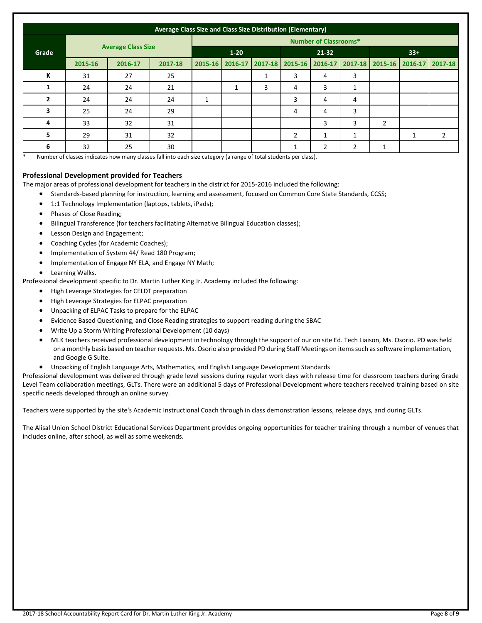|                | Average Class Size and Class Size Distribution (Elementary) |         |                           |                              |          |               |                 |                |   |                         |   |                |
|----------------|-------------------------------------------------------------|---------|---------------------------|------------------------------|----------|---------------|-----------------|----------------|---|-------------------------|---|----------------|
|                |                                                             |         |                           | <b>Number of Classrooms*</b> |          |               |                 |                |   |                         |   |                |
| Grade          |                                                             |         | <b>Average Class Size</b> |                              | $1 - 20$ |               | 21-32           |                |   | $33+$                   |   |                |
|                | 2015-16                                                     | 2016-17 | 2017-18                   | $2015 - 16$                  | 2016-17  | $2017 - 18$   | 2015-16 2016-17 |                |   | 2017-18 2015-16 2016-17 |   | 2017-18        |
| К              | 31                                                          | 27      | 25                        |                              |          | 1<br><b>L</b> | 3               | 4              | 3 |                         |   |                |
|                | 24                                                          | 24      | 21                        |                              | 1        | 3             | 4               | 3              |   |                         |   |                |
| $\overline{2}$ | 24                                                          | 24      | 24                        | 1                            |          |               | 3               | 4              | 4 |                         |   |                |
| 3              | 25                                                          | 24      | 29                        |                              |          |               | 4               | 4              | 3 |                         |   |                |
| 4              | 33                                                          | 32      | 31                        |                              |          |               |                 | 3              | 3 | $\overline{2}$          |   |                |
| 5              | 29                                                          | 31      | 32                        |                              |          |               | 2               |                |   |                         | 1 | $\overline{2}$ |
| 6              | 32                                                          | 25      | 30                        |                              |          |               | ᅩ               | $\overline{2}$ | 2 | 1                       |   |                |

Number of classes indicates how many classes fall into each size category (a range of total students per class).

#### **Professional Development provided for Teachers**

The major areas of professional development for teachers in the district for 2015-2016 included the following:

- Standards-based planning for instruction, learning and assessment, focused on Common Core State Standards, CCSS;
- 1:1 Technology Implementation (laptops, tablets, iPads);
- Phases of Close Reading;
- Bilingual Transference (for teachers facilitating Alternative Bilingual Education classes);
- Lesson Design and Engagement;
- Coaching Cycles (for Academic Coaches);
- Implementation of System 44/ Read 180 Program;
- Implementation of Engage NY ELA, and Engage NY Math;
- Learning Walks.

Professional development specific to Dr. Martin Luther King Jr. Academy included the following:

- High Leverage Strategies for CELDT preparation
- High Leverage Strategies for ELPAC preparation
- Unpacking of ELPAC Tasks to prepare for the ELPAC
- Evidence Based Questioning, and Close Reading strategies to support reading during the SBAC
- Write Up a Storm Writing Professional Development (10 days)
- MLK teachers received professional development in technology through the support of our on site Ed. Tech Liaison, Ms. Osorio. PD was held on a monthly basis based on teacher requests. Ms. Osorio also provided PD during Staff Meetings on items such as software implementation, and Google G Suite.
- Unpacking of English Language Arts, Mathematics, and English Language Development Standards

Professional development was delivered through grade level sessions during regular work days with release time for classroom teachers during Grade Level Team collaboration meetings, GLTs. There were an additional 5 days of Professional Development where teachers received training based on site specific needs developed through an online survey.

Teachers were supported by the site's Academic Instructional Coach through in class demonstration lessons, release days, and during GLTs.

The Alisal Union School District Educational Services Department provides ongoing opportunities for teacher training through a number of venues that includes online, after school, as well as some weekends.